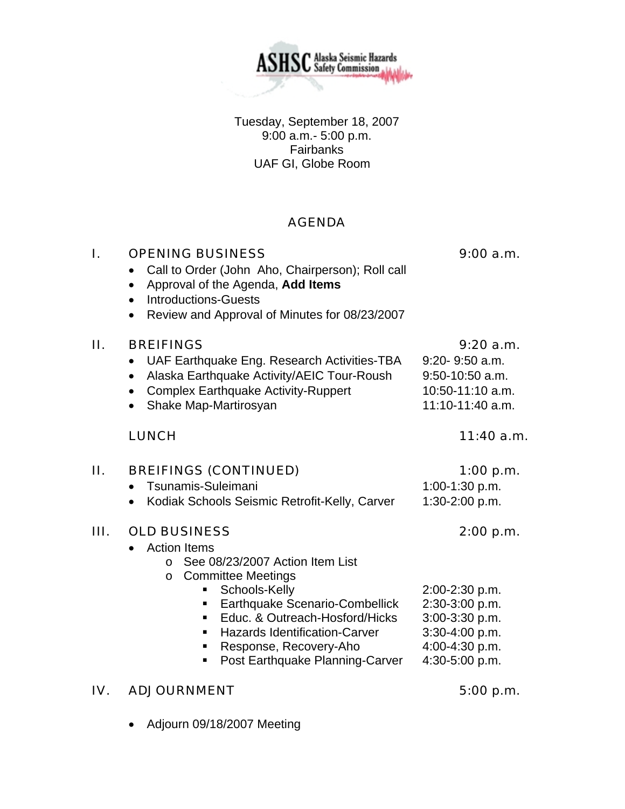Tuesday, September 18, 2007 9:00 a.m.- 5:00 p.m. **Fairbanks** UAF GI, Globe Room

**ASHSC** Alaska Seismic Hazards

### AGENDA

| I.  | <b>OPENING BUSINESS</b><br>Call to Order (John Aho, Chairperson); Roll call<br>Approval of the Agenda, Add Items<br>$\bullet$<br><b>Introductions-Guests</b><br>$\bullet$<br>Review and Approval of Minutes for 08/23/2007<br>$\bullet$                                                                                                              | 9:00 a.m.                                                                                                             |
|-----|------------------------------------------------------------------------------------------------------------------------------------------------------------------------------------------------------------------------------------------------------------------------------------------------------------------------------------------------------|-----------------------------------------------------------------------------------------------------------------------|
| П.  | <b>BREIFINGS</b><br>UAF Earthquake Eng. Research Activities-TBA<br>Alaska Earthquake Activity/AEIC Tour-Roush<br><b>Complex Earthquake Activity-Ruppert</b><br>Shake Map-Martirosyan<br>$\bullet$                                                                                                                                                    | 9:20a.m.<br>$9:20 - 9:50$ a.m.<br>$9:50-10:50$ a.m.<br>10:50-11:10 a.m.<br>11:10-11:40 a.m.                           |
|     | <b>LUNCH</b>                                                                                                                                                                                                                                                                                                                                         | $11:40$ a.m.                                                                                                          |
| П.  | <b>BREIFINGS (CONTINUED)</b><br>Tsunamis-Suleimani<br>Kodiak Schools Seismic Retrofit-Kelly, Carver                                                                                                                                                                                                                                                  | 1:00 p.m.<br>1:00-1:30 p.m.<br>1:30-2:00 p.m.                                                                         |
| Ш.  | <b>OLD BUSINESS</b><br><b>Action Items</b><br>See 08/23/2007 Action Item List<br>$\Omega$<br><b>Committee Meetings</b><br>$\circ$<br>Schools-Kelly<br>Earthquake Scenario-Combellick<br>ш<br>Educ. & Outreach-Hosford/Hicks<br>٠<br><b>Hazards Identification-Carver</b><br>٠<br>Response, Recovery-Aho<br>٠<br>Post Earthquake Planning-Carver<br>٠ | 2:00 p.m.<br>2:00-2:30 p.m.<br>2:30-3:00 p.m.<br>3:00-3:30 p.m.<br>3:30-4:00 p.m.<br>4:00-4:30 p.m.<br>4:30-5:00 p.m. |
| IV. | <b>ADJOURNMENT</b>                                                                                                                                                                                                                                                                                                                                   | 5:00 p.m.                                                                                                             |

• Adjourn 09/18/2007 Meeting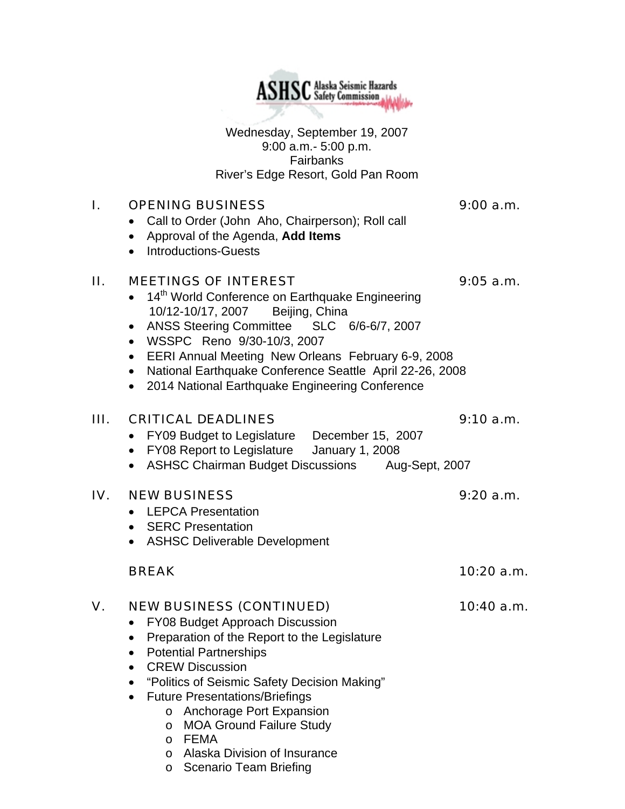Wednesday, September 19, 2007 9:00 a.m.- 5:00 p.m. Fairbanks River's Edge Resort, Gold Pan Room

**ASHSC** Alaska Seismic Hazards

## I. OPENING BUSINESS 9:00 a.m.

- Call to Order (John Aho, Chairperson); Roll call
- Approval of the Agenda, **Add Items**
- Introductions-Guests

## II. MEETINGS OF INTEREST 9:05 a.m.

- 14<sup>th</sup> World Conference on Earthquake Engineering 10/12-10/17, 2007 Beijing, China
- ANSS Steering Committee SLC 6/6-6/7, 2007
- WSSPC Reno 9/30-10/3, 2007
- EERI Annual Meeting New Orleans February 6-9, 2008
- National Earthquake Conference Seattle April 22-26, 2008
- 2014 National Earthquake Engineering Conference

## III. CRITICAL DEADLINES 9:10 a.m.

- FY09 Budget to Legislature December 15, 2007
- FY08 Report to Legislature January 1, 2008
- ASHSC Chairman Budget Discussions Aug-Sept, 2007

## IV. NEW BUSINESS 9:20 a.m.

- LEPCA Presentation
- **SERC Presentation**
- ASHSC Deliverable Development

## V. NEW BUSINESS (CONTINUED) 10:40 a.m.

- FY08 Budget Approach Discussion
- Preparation of the Report to the Legislature
- Potential Partnerships
- CREW Discussion
- "Politics of Seismic Safety Decision Making"
- Future Presentations/Briefings
	- o Anchorage Port Expansion
	- o MOA Ground Failure Study
	- o FEMA
	- o Alaska Division of Insurance
	- o Scenario Team Briefing

BREAK 10:20 a.m.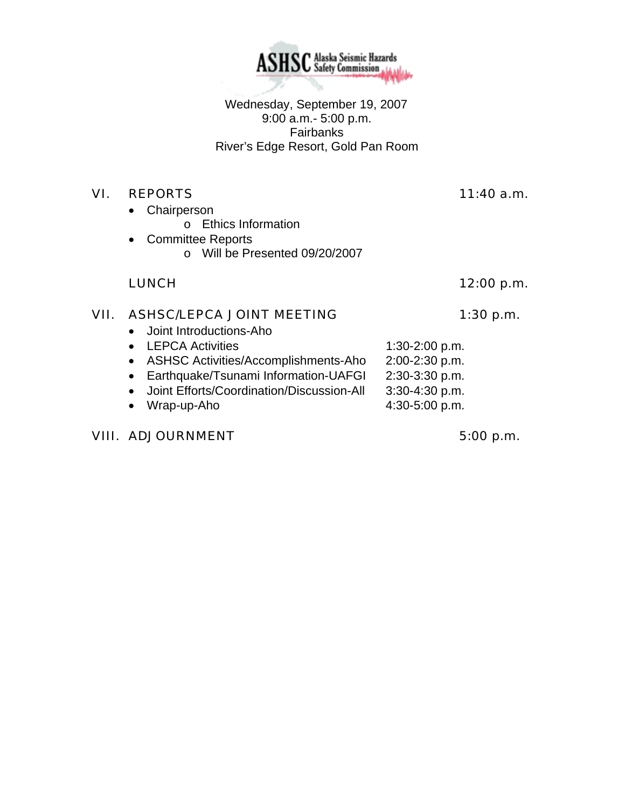Wednesday, September 19, 2007 9:00 a.m.- 5:00 p.m. Fairbanks River's Edge Resort, Gold Pan Room

## VI. REPORTS 11:40 a.m.

• Chairperson

o Ethics Information

- Committee Reports
	- o Will be Presented 09/20/2007

## LUNCH 12:00 p.m.

# VII. ASHSC/LEPCA JOINT MEETING 1:30 p.m.

- Joint Introductions-Aho
- LEPCA Activities 1:30-2:00 p.m.
- ASHSC Activities/Accomplishments-Aho 2:00-2:30 p.m.
- Earthquake/Tsunami Information-UAFGI 2:30-3:30 p.m.
- Joint Efforts/Coordination/Discussion-All 3:30-4:30 p.m.
- Wrap-up-Aho  $4:30-5:00$  p.m.

# VIII. ADJOURNMENT 5:00 p.m.

**ASHSC** Alaska Seismic Hazards